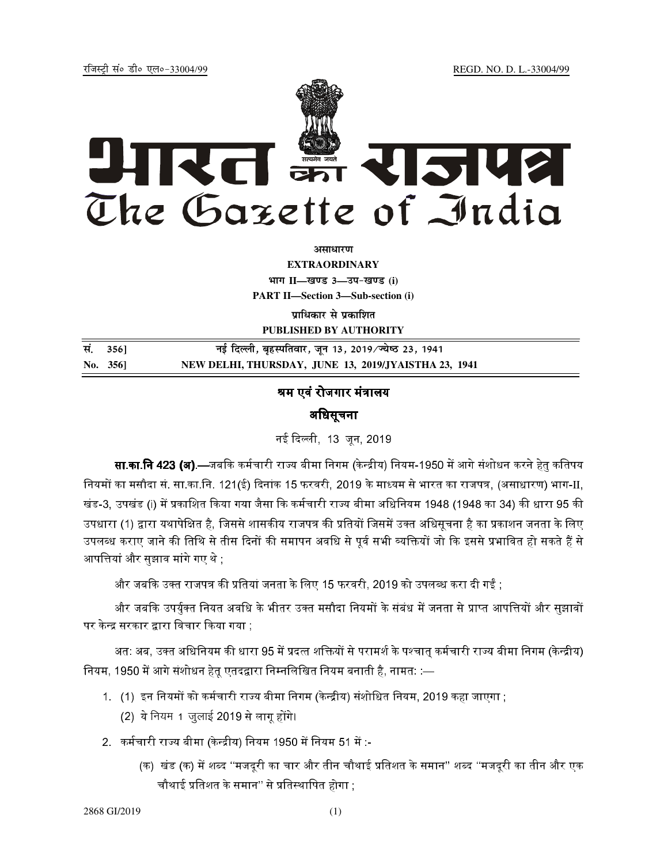jftLVªh laö Mhö ,yö&33004@99 REGD. NO. D. L.-33004/99



**vlk/kj.k**

**EXTRAORDINARY**  $4$ **HTT**  $II$ —*l***avs** 3—34-*b*avs (i) **PART II—Section 3—Sub-section (i)** 

**प्राधिकार से प्रकाशित PUBLISHED BY AUTHORITY**

| सं. 356]    | नई दिल्ली, बृहस्पतिवार, जून 13, 2019/ज्येष्ठ 23, 1941 |
|-------------|-------------------------------------------------------|
| No. $356$ ] | NEW DELHI, THURSDAY, JUNE 13, 2019/JYAISTHA 23, 1941  |

# श्रम एवं रोजगार मंत्रालय

# अधिसूचना

नई दिल्ली, 13 जन, 2019<mark>,</mark>

**सा.का.नि 423** *(***ब).**—जबकि कर्मचारी राज्य बीमा निगम (केन्द्रीय) नियम-1950 में आगे संशोधन करने हेत कतिपय नियमों का मसौदा सं. सा.का.नि. 121(ई) दिनांक 15 फरवरी, 2019 के माध्यम से भारत का राजपत्र, (असाधारण) भाग-II, खंड-3, उपखंड (i) में प्रकाशित किया गया जैसा कि कर्मचारी राज्य बीमा अधिनियम 1948 (1948 का 34) की धारा 95 की उपधारा (1) द्वारा यथापेक्षित है, जिससे शासकीय राजपत्र की प्रतियों जिसमें उक्त अधिसृचना है का प्रकाशन जनता के लिए उपलब्ध कराए जाने की तिथि से तीस दिनों की समापन अवधि से पूर्व सभी व्यक्तियों जो कि इससे प्रभावित हो सकते हैं से आपत्तियां और सुझाव मांगे गए थे ;

और जबकि उक्त राजपत्र की प्रतियां जनता के लिए 15 फरवरी. 2019 को उपलब्ध करा दी गईं :

और जबकि उपर्यक्त नियत अवधि के भीतर उक्त मसौदा नियमों के संबंध में जनता से प्राप्त आपत्तियों और सझावों पर केन्द्र सरकार द्वारा विचार किया गया ;

अत: अब. उक्त अधिनियम की धारा 95 में प्रदत्त शक्तियों से परामर्श के पश्चात कर्मचारी राज्य बीमा निगम (केन्द्रीय) नियम, 1950 में आगे संशोधन हेतू एतदद्वारा निम्नलिखित नियम बनाती है, नामत: :—

- 1. (1) इन नियमों को कर्मचारी राज्य बीमा निगम (केन्द्रीय) संशोधित नियम. 2019 कहा जाएगा :
	- $(2)$  ये नियम 1 जुलाई 2019 से लागू होंगे।
- 2. कर्मचारी राज्य बीमा (केन्द्रीय) नियम 1950 में नियम 51 में :--
	- (क) खंड (क) में शब्द ''मजदरी का चार और तीन चौथाई प्रतिशत के समान'' शब्द ''मजदरी का तीन और एक चौथाई प्रतिशत के समान'' से प्रतिस्थापित होगा <u>:</u>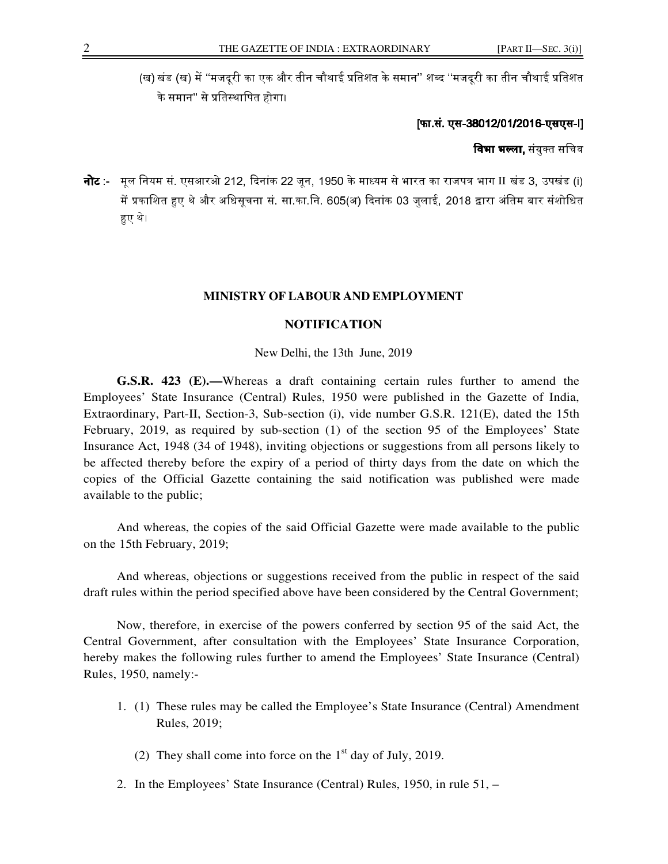(ख) खंड (ख) में ''मजदरी का एक और तीन चौथाई प्रतिशत के समान'' शब्द ''मजदरी का तीन चौथाई प्रतिशत के समान'' से प्रतिस्थापित होगा।

## [फा.सं. एस-38012/01/2016-एसएस-I]

**विभा भल्ला.** संयक्त सचिव

नोट :- मूल नियम सं. एसआरओ 212, दिनांक 22 जून, 1950 के माध्यम से भारत का राजपत्र भाग II खंड 3, उपखंड (i) में प्रकाशित हुए थे और अधिसचना सं. सा.का.नि. 605(अ) दिनांक 03 जलाई. 2018 द्वारा अंतिम बार संशोधित हुए थे।

### **MINISTRY OF LABOUR AND EMPLOYMENT**

#### **NOTIFICATION**

New Delhi, the 13th June, 2019

**G.S.R. 423 (E).—**Whereas a draft containing certain rules further to amend the Employees' State Insurance (Central) Rules, 1950 were published in the Gazette of India, Extraordinary, Part-II, Section-3, Sub-section (i), vide number G.S.R. 121(E), dated the 15th February, 2019, as required by sub-section (1) of the section 95 of the Employees' State Insurance Act, 1948 (34 of 1948), inviting objections or suggestions from all persons likely to be affected thereby before the expiry of a period of thirty days from the date on which the copies of the Official Gazette containing the said notification was published were made available to the public;

And whereas, the copies of the said Official Gazette were made available to the public on the 15th February, 2019;

And whereas, objections or suggestions received from the public in respect of the said draft rules within the period specified above have been considered by the Central Government;

Now, therefore, in exercise of the powers conferred by section 95 of the said Act, the Central Government, after consultation with the Employees' State Insurance Corporation, hereby makes the following rules further to amend the Employees' State Insurance (Central) Rules, 1950, namely:-

- 1. (1) These rules may be called the Employee's State Insurance (Central) Amendment Rules, 2019;
	- (2) They shall come into force on the  $1<sup>st</sup>$  day of July, 2019.
- 2. In the Employees' State Insurance (Central) Rules, 1950, in rule 51, –